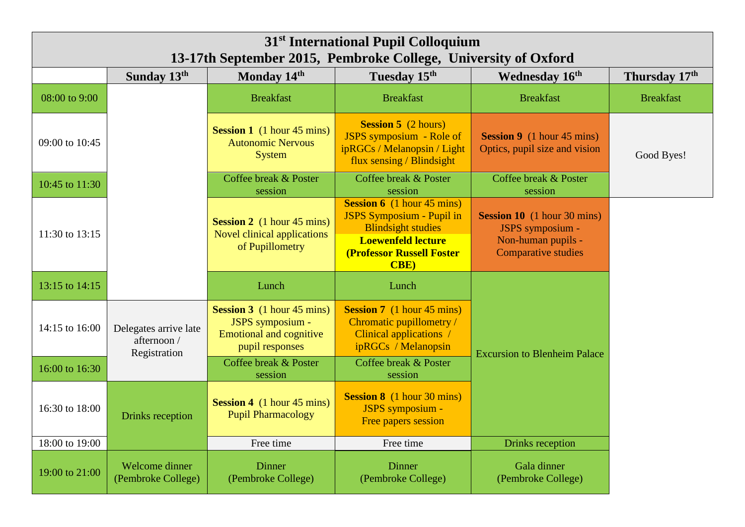| 31 <sup>st</sup> International Pupil Colloquium<br>13-17th September 2015, Pembroke College, University of Oxford |                                                      |                                                                                                            |                                                                                                                                                                                      |                                                                                                            |                  |  |  |
|-------------------------------------------------------------------------------------------------------------------|------------------------------------------------------|------------------------------------------------------------------------------------------------------------|--------------------------------------------------------------------------------------------------------------------------------------------------------------------------------------|------------------------------------------------------------------------------------------------------------|------------------|--|--|
|                                                                                                                   | Sunday 13th                                          | Monday 14th                                                                                                | Tuesday 15th                                                                                                                                                                         | Wednesday 16 <sup>th</sup>                                                                                 | Thursday 17th    |  |  |
| 08:00 to 9:00                                                                                                     |                                                      | <b>Breakfast</b>                                                                                           | <b>Breakfast</b>                                                                                                                                                                     | <b>Breakfast</b>                                                                                           | <b>Breakfast</b> |  |  |
| 09:00 to 10:45                                                                                                    |                                                      | <b>Session 1</b> (1 hour 45 mins)<br><b>Autonomic Nervous</b><br><b>System</b>                             | <b>Session 5</b> (2 hours)<br>JSPS symposium - Role of<br>ipRGCs / Melanopsin / Light<br>flux sensing / Blindsight                                                                   | <b>Session 9</b> (1 hour 45 mins)<br>Optics, pupil size and vision                                         | Good Byes!       |  |  |
| 10:45 to 11:30                                                                                                    |                                                      | Coffee break & Poster<br>session                                                                           | Coffee break & Poster<br>session                                                                                                                                                     | Coffee break & Poster<br>session                                                                           |                  |  |  |
| 11:30 to 13:15                                                                                                    |                                                      | <b>Session 2</b> (1 hour 45 mins)<br>Novel clinical applications<br>of Pupillometry                        | <b>Session 6</b> (1 hour 45 mins)<br><b>JSPS Symposium - Pupil in</b><br><b>Blindsight studies</b><br><b>Loewenfeld lecture</b><br><b>(Professor Russell Foster)</b><br><b>CBE</b> ) | <b>Session 10</b> (1 hour 30 mins)<br>JSPS symposium -<br>Non-human pupils -<br><b>Comparative studies</b> |                  |  |  |
| 13:15 to 14:15                                                                                                    |                                                      | Lunch                                                                                                      | Lunch                                                                                                                                                                                |                                                                                                            |                  |  |  |
| 14:15 to 16:00                                                                                                    | Delegates arrive late<br>afternoon /<br>Registration | <b>Session 3</b> (1 hour 45 mins)<br>JSPS symposium -<br><b>Emotional and cognitive</b><br>pupil responses | <b>Session 7</b> (1 hour 45 mins)<br>Chromatic pupillometry /<br>Clinical applications /<br>ipRGCs / Melanopsin                                                                      | <b>Excursion to Blenheim Palace</b>                                                                        |                  |  |  |
| 16:00 to 16:30                                                                                                    |                                                      | Coffee break & Poster<br>session                                                                           | Coffee break & Poster<br>session                                                                                                                                                     |                                                                                                            |                  |  |  |
| 16:30 to 18:00                                                                                                    | Drinks reception                                     | <b>Session 4</b> (1 hour 45 mins)<br><b>Pupil Pharmacology</b>                                             | <b>Session 8</b> (1 hour 30 mins)<br>JSPS symposium -<br>Free papers session                                                                                                         |                                                                                                            |                  |  |  |
| 18:00 to 19:00                                                                                                    |                                                      | Free time                                                                                                  | Free time                                                                                                                                                                            | <b>Drinks</b> reception                                                                                    |                  |  |  |
| 19:00 to 21:00                                                                                                    | Welcome dinner<br>(Pembroke College)                 | Dinner<br>(Pembroke College)                                                                               | <b>Dinner</b><br>(Pembroke College)                                                                                                                                                  | Gala dinner<br>(Pembroke College)                                                                          |                  |  |  |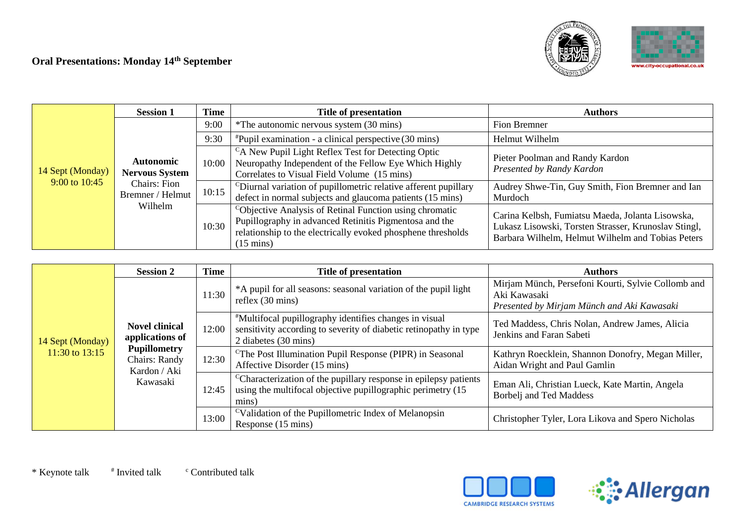# **Oral Presentations: Monday 14th September**





|                                     | <b>Session 1</b>                                                                     | <b>Time</b> | Title of presentation                                                                                                                                                                                    | <b>Authors</b>                                                                                                                                                |
|-------------------------------------|--------------------------------------------------------------------------------------|-------------|----------------------------------------------------------------------------------------------------------------------------------------------------------------------------------------------------------|---------------------------------------------------------------------------------------------------------------------------------------------------------------|
|                                     |                                                                                      | 9:00        | *The autonomic nervous system (30 mins)                                                                                                                                                                  | Fion Bremner                                                                                                                                                  |
|                                     |                                                                                      | 9:30        | $*P$ upil examination - a clinical perspective (30 mins)                                                                                                                                                 | Helmut Wilhelm                                                                                                                                                |
| 14 Sept (Monday)<br>9:00 to $10:45$ | <b>Autonomic</b><br><b>Nervous System</b><br><b>Chairs: Fion</b><br>Bremner / Helmut | 10:00       | <sup>C</sup> A New Pupil Light Reflex Test for Detecting Optic<br>Neuropathy Independent of the Fellow Eye Which Highly<br>Correlates to Visual Field Volume (15 mins)                                   | Pieter Poolman and Randy Kardon<br>Presented by Randy Kardon                                                                                                  |
|                                     |                                                                                      | 10:15       | Diurnal variation of pupillometric relative afferent pupillary<br>defect in normal subjects and glaucoma patients (15 mins)                                                                              | Audrey Shwe-Tin, Guy Smith, Fion Bremner and Ian<br>Murdoch                                                                                                   |
|                                     | Wilhelm                                                                              | 10:30       | Cobjective Analysis of Retinal Function using chromatic<br>Pupillography in advanced Retinitis Pigmentosa and the<br>relationship to the electrically evoked phosphene thresholds<br>$(15 \text{ mins})$ | Carina Kelbsh, Fumiatsu Maeda, Jolanta Lisowska,<br>Lukasz Lisowski, Torsten Strasser, Krunoslav Stingl,<br>Barbara Wilhelm, Helmut Wilhelm and Tobias Peters |

|                                    | <b>Session 2</b>                                                                                                                                                  | <b>Time</b>                                                                                          | <b>Title of presentation</b>                                                                  | <b>Authors</b>                                                                                                                               |                                                                                                                                                     |                                                                            |
|------------------------------------|-------------------------------------------------------------------------------------------------------------------------------------------------------------------|------------------------------------------------------------------------------------------------------|-----------------------------------------------------------------------------------------------|----------------------------------------------------------------------------------------------------------------------------------------------|-----------------------------------------------------------------------------------------------------------------------------------------------------|----------------------------------------------------------------------------|
| 14 Sept (Monday)<br>11:30 to 13:15 | 11:30<br><b>Novel clinical</b><br>12:00<br>applications of<br><b>Pupillometry</b><br>12:30<br>Chairs: Randy<br>Kardon / Aki<br>Kawasaki<br>12:45<br>mins<br>13:00 |                                                                                                      | *A pupil for all seasons: seasonal variation of the pupil light<br>reflex $(30 \text{ mins})$ | Mirjam Münch, Persefoni Kourti, Sylvie Collomb and<br>Aki Kawasaki<br>Presented by Mirjam Münch and Aki Kawasaki                             |                                                                                                                                                     |                                                                            |
|                                    |                                                                                                                                                                   |                                                                                                      |                                                                                               |                                                                                                                                              | "Multifocal pupillography identifies changes in visual<br>sensitivity according to severity of diabetic retinopathy in type<br>2 diabetes (30 mins) | Ted Maddess, Chris Nolan, Andrew James, Alicia<br>Jenkins and Faran Sabeti |
|                                    |                                                                                                                                                                   | <sup>C</sup> The Post Illumination Pupil Response (PIPR) in Seasonal<br>Affective Disorder (15 mins) | Kathryn Roecklein, Shannon Donofry, Megan Miller,<br>Aidan Wright and Paul Gamlin             |                                                                                                                                              |                                                                                                                                                     |                                                                            |
|                                    |                                                                                                                                                                   |                                                                                                      |                                                                                               | <sup>C</sup> Characterization of the pupillary response in epilepsy patients<br>using the multifocal objective pupillographic perimetry (15) | Eman Ali, Christian Lueck, Kate Martin, Angela<br>Borbelj and Ted Maddess                                                                           |                                                                            |
|                                    |                                                                                                                                                                   |                                                                                                      | <sup>C</sup> Validation of the Pupillometric Index of Melanopsin<br>Response (15 mins)        | Christopher Tyler, Lora Likova and Spero Nicholas                                                                                            |                                                                                                                                                     |                                                                            |



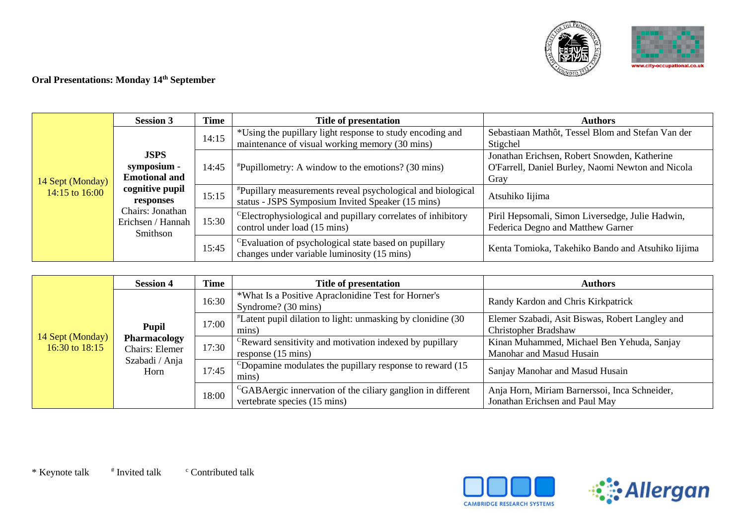



# **Oral Presentations: Monday 14th September**

|                                    | <b>Session 3</b>                                                                                                                        | <b>Time</b> | Title of presentation                                                                                                   | <b>Authors</b>                                                                                            |
|------------------------------------|-----------------------------------------------------------------------------------------------------------------------------------------|-------------|-------------------------------------------------------------------------------------------------------------------------|-----------------------------------------------------------------------------------------------------------|
| 14 Sept (Monday)<br>14:15 to 16:00 | <b>JSPS</b><br>symposium -<br><b>Emotional and</b><br>cognitive pupil<br>responses<br>Chairs: Jonathan<br>Erichsen / Hannah<br>Smithson | 14:15       | *Using the pupillary light response to study encoding and<br>maintenance of visual working memory (30 mins)             | Sebastiaan Mathôt, Tessel Blom and Stefan Van der<br>Stigchel                                             |
|                                    |                                                                                                                                         | 14:45       | $*$ Pupillometry: A window to the emotions? (30 mins)                                                                   | Jonathan Erichsen, Robert Snowden, Katherine<br>O'Farrell, Daniel Burley, Naomi Newton and Nicola<br>Gray |
|                                    |                                                                                                                                         | 15:15       | <i>*Pupillary measurements reveal psychological and biological</i><br>status - JSPS Symposium Invited Speaker (15 mins) | Atsuhiko Iijima                                                                                           |
|                                    |                                                                                                                                         | 15:30       | <sup>C</sup> Electrophysiological and pupillary correlates of inhibitory<br>control under load (15 mins)                | Piril Hepsomali, Simon Liversedge, Julie Hadwin,<br>Federica Degno and Matthew Garner                     |
|                                    |                                                                                                                                         | 15:45       | <sup>C</sup> Evaluation of psychological state based on pupillary<br>changes under variable luminosity (15 mins)        | Kenta Tomioka, Takehiko Bando and Atsuhiko Iijima                                                         |

|                                    | <b>Session 4</b>                      | <b>Time</b> | Title of presentation                                                                                   | <b>Authors</b>                                                                  |
|------------------------------------|---------------------------------------|-------------|---------------------------------------------------------------------------------------------------------|---------------------------------------------------------------------------------|
| 14 Sept (Monday)<br>16:30 to 18:15 | <b>Pupil</b>                          | 16:30       | *What Is a Positive Apraclonidine Test for Horner's<br>Syndrome? (30 mins)                              | Randy Kardon and Chris Kirkpatrick                                              |
|                                    |                                       | 17:00       | <i>Latent pupil dilation to light: unmasking by clonidine (30)</i><br>mins)                             | Elemer Szabadi, Asit Biswas, Robert Langley and<br><b>Christopher Bradshaw</b>  |
|                                    | <b>Pharmacology</b><br>Chairs: Elemer | 17:30       | <sup>C</sup> Reward sensitivity and motivation indexed by pupillary<br>response (15 mins)               | Kinan Muhammed, Michael Ben Yehuda, Sanjay<br>Manohar and Masud Husain          |
|                                    | Szabadi / Anja<br>Horn                | 17:45       | CD opamine modulates the pupillary response to reward $(15$<br>mıns)                                    | Sanjay Manohar and Masud Husain                                                 |
|                                    |                                       | 18:00       | <sup>C</sup> GABAergic innervation of the ciliary ganglion in different<br>vertebrate species (15 mins) | Anja Horn, Miriam Barnerssoi, Inca Schneider,<br>Jonathan Erichsen and Paul May |



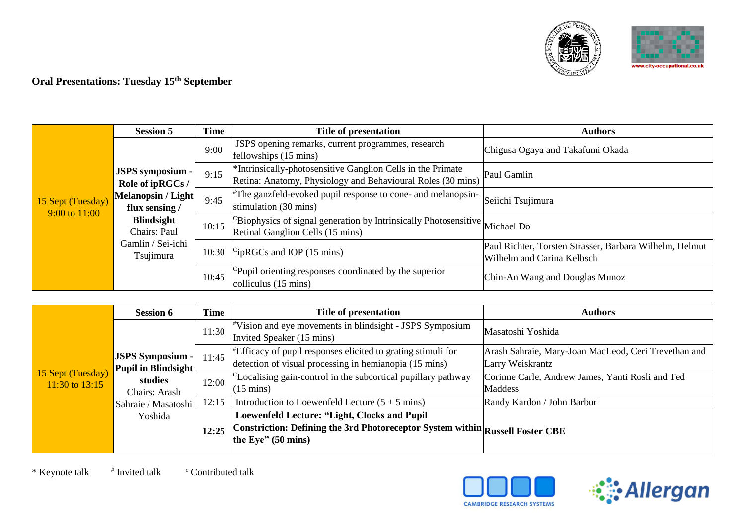



### **Oral Presentations: Tuesday 15th September**

|                                    | <b>Session 5</b>                                                                                                                                                                          | <b>Time</b> | Title of presentation                                                                                                                  | <b>Authors</b>                                                                        |
|------------------------------------|-------------------------------------------------------------------------------------------------------------------------------------------------------------------------------------------|-------------|----------------------------------------------------------------------------------------------------------------------------------------|---------------------------------------------------------------------------------------|
|                                    | 9:00<br><b>JSPS</b> symposium -<br>9:15<br>Role of ipRGCs /<br><b>Melanopsin / Light</b><br>9:45<br>flux sensing /<br><b>Blindsight</b><br>Chairs: Paul<br>Gamlin / Sei-ichi<br>Tsujimura |             | JSPS opening remarks, current programmes, research<br>fellowships (15 mins)                                                            | Chigusa Ogaya and Takafumi Okada                                                      |
|                                    |                                                                                                                                                                                           |             | <sup>*</sup> Intrinsically-photosensitive Ganglion Cells in the Primate<br>Retina: Anatomy, Physiology and Behavioural Roles (30 mins) | Paul Gamlin                                                                           |
| 15 Sept (Tuesday)<br>9:00 to 11:00 |                                                                                                                                                                                           |             | The ganzfeld-evoked pupil response to cone- and melanopsin-<br>stimulation (30 mins)                                                   | Seiichi Tsujimura                                                                     |
|                                    |                                                                                                                                                                                           | 10:15       | <sup>5</sup> Biophysics of signal generation by Intrinsically Photosensitive Michael Do<br>Retinal Ganglion Cells (15 mins)            |                                                                                       |
|                                    |                                                                                                                                                                                           | 10:30       | $\rm{CipRGCs}$ and IOP (15 mins)                                                                                                       | Paul Richter, Torsten Strasser, Barbara Wilhelm, Helmut<br>Wilhelm and Carina Kelbsch |
|                                    |                                                                                                                                                                                           | 10:45       | Pupil orienting responses coordinated by the superior<br>colliculus $(15 \text{ mins})$                                                | Chin-An Wang and Douglas Munoz                                                        |

|                                     | <b>Session 6</b>                               | <b>Time</b> | Title of presentation                                                                                                                                         | <b>Authors</b>                                                           |
|-------------------------------------|------------------------------------------------|-------------|---------------------------------------------------------------------------------------------------------------------------------------------------------------|--------------------------------------------------------------------------|
|                                     |                                                | 11:30       | "Vision and eye movements in blindsight - JSPS Symposium<br>Invited Speaker (15 mins)                                                                         | Masatoshi Yoshida                                                        |
| 15 Sept (Tuesday)<br>11:30 to 13:15 | <b>JSPS Symposium -</b><br>Pupil in Blindsight | 11:45       | "Efficacy of pupil responses elicited to grating stimuli for<br>detection of visual processing in hemianopia (15 mins)                                        | Arash Sahraie, Mary-Joan MacLeod, Ceri Trevethan and<br>Larry Weiskrantz |
|                                     | studies<br>Chairs: Arash                       | 12:00       | <sup>C</sup> Localising gain-control in the subcortical pupillary pathway<br>$(15 \text{ mins})$                                                              | Corinne Carle, Andrew James, Yanti Rosli and Ted<br>Maddess              |
|                                     | Sahraie / Masatoshi                            | 12:15       | Introduction to Loewenfeld Lecture $(5 + 5$ mins)                                                                                                             | Randy Kardon / John Barbur                                               |
|                                     | Yoshida                                        | 12:25       | Loewenfeld Lecture: "Light, Clocks and Pupil<br>Constriction: Defining the 3rd Photoreceptor System within Russell Foster CBE<br>the Eye" $(50 \text{ mins})$ |                                                                          |



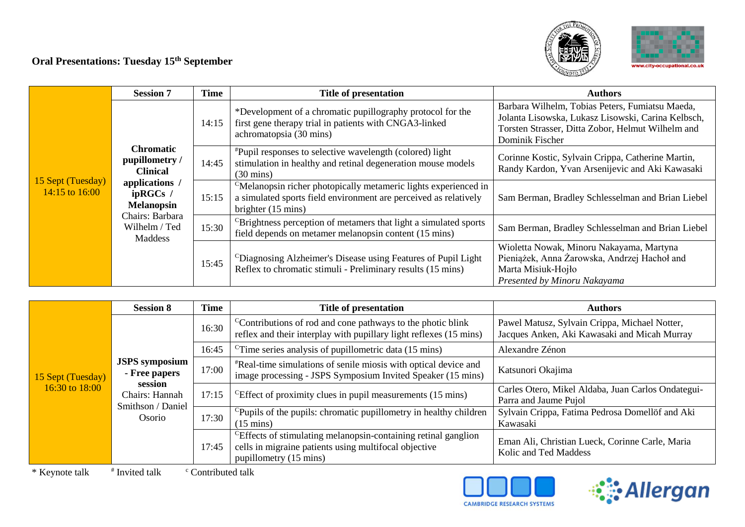# **Oral Presentations: Tuesday 15th September**





|                                     | <b>Session 7</b>                                      | <b>Time</b> | <b>Title of presentation</b>                                                                                                                                                    | <b>Authors</b>                                                                                                                                                                |
|-------------------------------------|-------------------------------------------------------|-------------|---------------------------------------------------------------------------------------------------------------------------------------------------------------------------------|-------------------------------------------------------------------------------------------------------------------------------------------------------------------------------|
| 15 Sept (Tuesday)<br>14:15 to 16:00 |                                                       | 14:15       | *Development of a chromatic pupillography protocol for the<br>first gene therapy trial in patients with CNGA3-linked<br>achromatopsia (30 mins)                                 | Barbara Wilhelm, Tobias Peters, Fumiatsu Maeda,<br>Jolanta Lisowska, Lukasz Lisowski, Carina Kelbsch,<br>Torsten Strasser, Ditta Zobor, Helmut Wilhelm and<br>Dominik Fischer |
|                                     | <b>Chromatic</b><br>pupillometry /<br><b>Clinical</b> | 14:45       | "Pupil responses to selective wavelength (colored) light<br>stimulation in healthy and retinal degeneration mouse models<br>$(30 \text{ mins})$                                 | Corinne Kostic, Sylvain Crippa, Catherine Martin,<br>Randy Kardon, Yvan Arsenijevic and Aki Kawasaki                                                                          |
|                                     | applications /<br>ipRGCs /<br><b>Melanopsin</b>       | 15:15       | <sup>C</sup> Melanopsin richer photopically metameric lights experienced in<br>a simulated sports field environment are perceived as relatively<br>brighter $(15 \text{ mins})$ | Sam Berman, Bradley Schlesselman and Brian Liebel                                                                                                                             |
|                                     | Chairs: Barbara<br>Wilhelm / Ted<br><b>Maddess</b>    | 15:30       | <sup>C</sup> Brightness perception of metamers that light a simulated sports<br>field depends on metamer melanopsin content (15 mins)                                           | Sam Berman, Bradley Schlesselman and Brian Liebel                                                                                                                             |
|                                     |                                                       | 15:45       | <sup>C</sup> Diagnosing Alzheimer's Disease using Features of Pupil Light<br>Reflex to chromatic stimuli - Preliminary results (15 mins)                                        | Wioletta Nowak, Minoru Nakayama, Martyna<br>Pieniążek, Anna Żarowska, Andrzej Hachoł and<br>Marta Misiuk-Hojło<br>Presented by Minoru Nakayama                                |

|                                     | <b>Session 8</b>                                                                                                                       | <b>Time</b>                                                                                          | Title of presentation                                                                                                                                         | <b>Authors</b>                                                                                |
|-------------------------------------|----------------------------------------------------------------------------------------------------------------------------------------|------------------------------------------------------------------------------------------------------|---------------------------------------------------------------------------------------------------------------------------------------------------------------|-----------------------------------------------------------------------------------------------|
|                                     |                                                                                                                                        | 16:30                                                                                                | <sup>C</sup> Contributions of rod and cone pathways to the photic blink<br>reflex and their interplay with pupillary light reflexes (15 mins)                 | Pawel Matusz, Sylvain Crippa, Michael Notter,<br>Jacques Anken, Aki Kawasaki and Micah Murray |
|                                     |                                                                                                                                        | 16:45                                                                                                | <sup>C</sup> Time series analysis of pupillometric data $(15 \text{ mins})$                                                                                   | Alexandre Zénon                                                                               |
| 15 Sept (Tuesday)<br>16:30 to 18:00 | <b>JSPS</b> symposium<br>17:00<br>- Free papers<br>session<br>17:15<br>Chairs: Hannah<br>Smithson / Daniel<br>Osorio<br>17:30<br>17:45 |                                                                                                      | *Real-time simulations of senile miosis with optical device and<br>image processing - JSPS Symposium Invited Speaker (15 mins)                                | Katsunori Okajima                                                                             |
|                                     |                                                                                                                                        |                                                                                                      | ${}^{\text{c}}$ Effect of proximity clues in pupil measurements (15 mins)                                                                                     | Carles Otero, Mikel Aldaba, Juan Carlos Ondategui-<br>Parra and Jaume Pujol                   |
|                                     |                                                                                                                                        | <sup>C</sup> Pupils of the pupils: chromatic pupillometry in healthy children<br>$(15 \text{ mins})$ | Sylvain Crippa, Fatima Pedrosa Domellöf and Aki<br>Kawasaki                                                                                                   |                                                                                               |
|                                     |                                                                                                                                        |                                                                                                      | <sup>C</sup> Effects of stimulating melanopsin-containing retinal ganglion<br>cells in migraine patients using multifocal objective<br>pupillometry (15 mins) | Eman Ali, Christian Lueck, Corinne Carle, Maria<br>Kolic and Ted Maddess                      |

\* Keynote talk <sup>#</sup> Invited talk  $\cdot$  Contributed talk



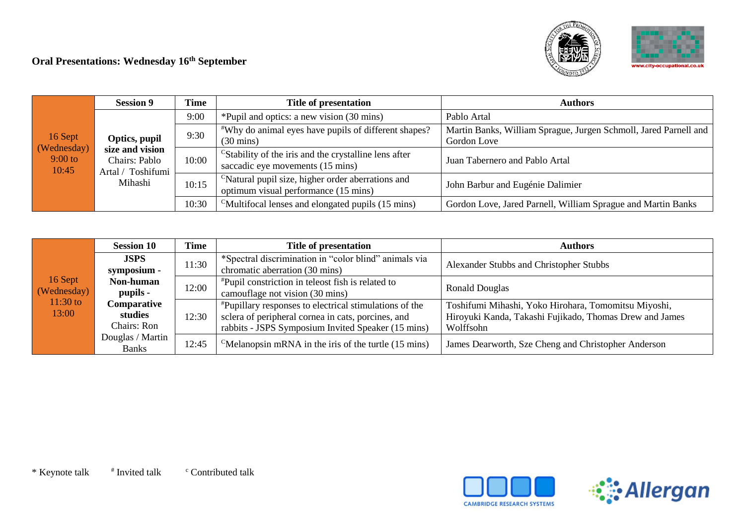#### **Oral Presentations: Wednesday 16 th September**





|  | <b>Session 9</b>                                                                                                                | <b>Time</b> | Title of presentation                                                                                 | Authors                                                          |
|--|---------------------------------------------------------------------------------------------------------------------------------|-------------|-------------------------------------------------------------------------------------------------------|------------------------------------------------------------------|
|  |                                                                                                                                 | 9:00        | *Pupil and optics: a new vision (30 mins)                                                             | Pablo Artal                                                      |
|  |                                                                                                                                 | 9:30        | *Why do animal eyes have pupils of different shapes?                                                  | Martin Banks, William Sprague, Jurgen Schmoll, Jared Parnell and |
|  | 16 Sept<br>Optics, pupil<br>(Wednesday)<br>size and vision<br>9:00 to<br>Chairs: Pablo<br>10:45<br>Artal / Toshifumi<br>Mihashi |             | $(30 \text{ mins})$                                                                                   | Gordon Love                                                      |
|  |                                                                                                                                 | 10:00       | <sup>C</sup> Stability of the iris and the crystalline lens after<br>saccadic eye movements (15 mins) | Juan Tabernero and Pablo Artal                                   |
|  |                                                                                                                                 | 10:15       | <sup>C</sup> Natural pupil size, higher order aberrations and<br>optimum visual performance (15 mins) | John Barbur and Eugénie Dalimier                                 |
|  |                                                                                                                                 | 10:30       | <sup>C</sup> Multifocal lenses and elongated pupils (15 mins)                                         | Gordon Love, Jared Parnell, William Sprague and Martin Banks     |

|                                    | <b>Session 10</b>         | Time                                                          | Title of presentation                                                      | <b>Authors</b>                                          |  |
|------------------------------------|---------------------------|---------------------------------------------------------------|----------------------------------------------------------------------------|---------------------------------------------------------|--|
|                                    | <b>JSPS</b>               | 11:30                                                         | *Spectral discrimination in "color blind" animals via                      | Alexander Stubbs and Christopher Stubbs                 |  |
|                                    | symposium -               |                                                               | chromatic aberration (30 mins)                                             |                                                         |  |
| 16 Sept                            | Non-human                 | 12:00                                                         | <sup>#</sup> Pupil constriction in teleost fish is related to              | <b>Ronald Douglas</b>                                   |  |
| (Wednesday)<br>$11:30$ to<br>13:00 | pupils -                  |                                                               | camouflage not vision (30 mins)                                            |                                                         |  |
|                                    | Comparative               | <i>*Pupillary responses to electrical stimulations of the</i> | Toshifumi Mihashi, Yoko Hirohara, Tomomitsu Miyoshi,                       |                                                         |  |
|                                    | studies                   | 12:30                                                         | sclera of peripheral cornea in cats, porcines, and                         | Hiroyuki Kanda, Takashi Fujikado, Thomas Drew and James |  |
|                                    | Chairs: Ron               |                                                               | rabbits - JSPS Symposium Invited Speaker (15 mins)                         | Wolffsohn                                               |  |
|                                    | Douglas / Martin<br>Banks | 12:45                                                         | <sup>C</sup> Melanopsin mRNA in the iris of the turtle $(15 \text{ mins})$ | James Dearworth, Sze Cheng and Christopher Anderson     |  |



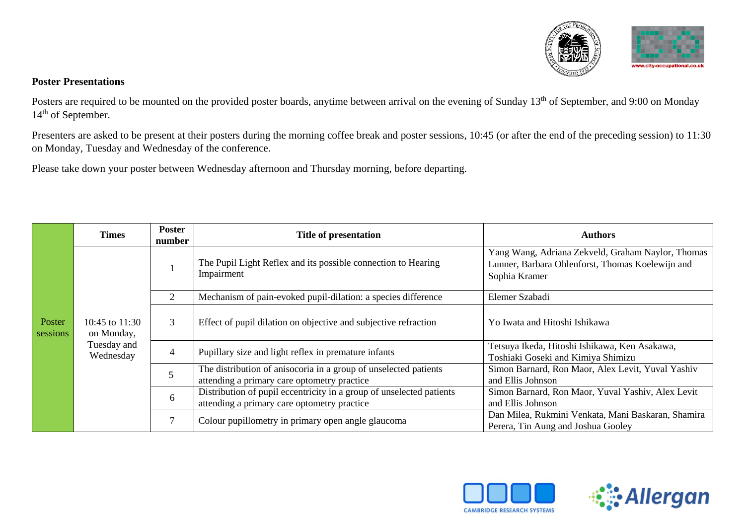

#### **Poster Presentations**

Posters are required to be mounted on the provided poster boards, anytime between arrival on the evening of Sunday 13<sup>th</sup> of September, and 9:00 on Monday 14<sup>th</sup> of September.

Presenters are asked to be present at their posters during the morning coffee break and poster sessions, 10:45 (or after the end of the preceding session) to 11:30 on Monday, Tuesday and Wednesday of the conference.

Please take down your poster between Wednesday afternoon and Thursday morning, before departing.

|                          | <b>Times</b>                   | <b>Poster</b><br>number                                                                                         | <b>Title of presentation</b>                                                                                        | Authors                                                                                                                |
|--------------------------|--------------------------------|-----------------------------------------------------------------------------------------------------------------|---------------------------------------------------------------------------------------------------------------------|------------------------------------------------------------------------------------------------------------------------|
|                          |                                |                                                                                                                 | The Pupil Light Reflex and its possible connection to Hearing<br>Impairment                                         | Yang Wang, Adriana Zekveld, Graham Naylor, Thomas<br>Lunner, Barbara Ohlenforst, Thomas Koelewijn and<br>Sophia Kramer |
|                          |                                | 2                                                                                                               | Mechanism of pain-evoked pupil-dilation: a species difference                                                       | Elemer Szabadi                                                                                                         |
| Poster<br>sessions       | 10:45 to $11:30$<br>on Monday, | 3                                                                                                               | Effect of pupil dilation on objective and subjective refraction                                                     | Yo Iwata and Hitoshi Ishikawa                                                                                          |
| Tuesday and<br>Wednesday |                                | 4                                                                                                               | Pupillary size and light reflex in premature infants                                                                | Tetsuya Ikeda, Hitoshi Ishikawa, Ken Asakawa,<br>Toshiaki Goseki and Kimiya Shimizu                                    |
|                          | 6                              | The distribution of anisocoria in a group of unselected patients<br>attending a primary care optometry practice | Simon Barnard, Ron Maor, Alex Levit, Yuval Yashiv<br>and Ellis Johnson                                              |                                                                                                                        |
|                          |                                |                                                                                                                 | Distribution of pupil eccentricity in a group of unselected patients<br>attending a primary care optometry practice | Simon Barnard, Ron Maor, Yuval Yashiv, Alex Levit<br>and Ellis Johnson                                                 |
|                          |                                |                                                                                                                 | Colour pupillometry in primary open angle glaucoma                                                                  | Dan Milea, Rukmini Venkata, Mani Baskaran, Shamira<br>Perera, Tin Aung and Joshua Gooley                               |